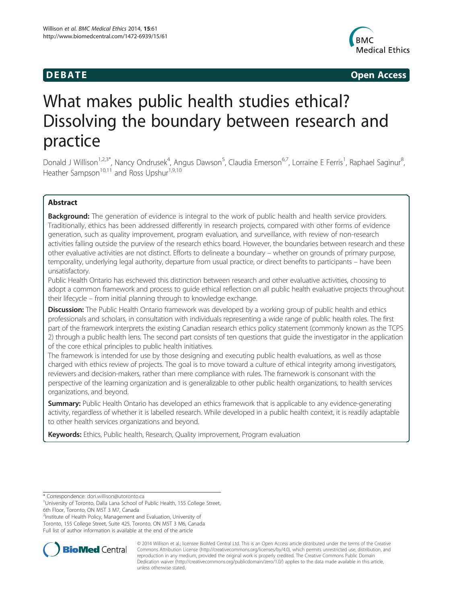

**DEBATE CONSIDERENT CONSIDERED ACCESS** 

# What makes public health studies ethical? Dissolving the boundary between research and practice

Donald J Willison<sup>1,2,3\*</sup>, Nancy Ondrusek<sup>4</sup>, Angus Dawson<sup>5</sup>, Claudia Emerson<sup>6,7</sup>, Lorraine E Ferris<sup>1</sup>, Raphael Saginur<sup>8</sup> ;<br>, Heather Sampson<sup>10,11</sup> and Ross Upshur<sup>1,9,10</sup>

# Abstract

Background: The generation of evidence is integral to the work of public health and health service providers. Traditionally, ethics has been addressed differently in research projects, compared with other forms of evidence generation, such as quality improvement, program evaluation, and surveillance, with review of non-research activities falling outside the purview of the research ethics board. However, the boundaries between research and these other evaluative activities are not distinct. Efforts to delineate a boundary – whether on grounds of primary purpose, temporality, underlying legal authority, departure from usual practice, or direct benefits to participants – have been unsatisfactory.

Public Health Ontario has eschewed this distinction between research and other evaluative activities, choosing to adopt a common framework and process to guide ethical reflection on all public health evaluative projects throughout their lifecycle – from initial planning through to knowledge exchange.

**Discussion:** The Public Health Ontario framework was developed by a working group of public health and ethics professionals and scholars, in consultation with individuals representing a wide range of public health roles. The first part of the framework interprets the existing Canadian research ethics policy statement (commonly known as the TCPS 2) through a public health lens. The second part consists of ten questions that guide the investigator in the application of the core ethical principles to public health initiatives.

The framework is intended for use by those designing and executing public health evaluations, as well as those charged with ethics review of projects. The goal is to move toward a culture of ethical integrity among investigators, reviewers and decision-makers, rather than mere compliance with rules. The framework is consonant with the perspective of the learning organization and is generalizable to other public health organizations, to health services organizations, and beyond.

**Summary:** Public Health Ontario has developed an ethics framework that is applicable to any evidence-generating activity, regardless of whether it is labelled research. While developed in a public health context, it is readily adaptable to other health services organizations and beyond.

Keywords: Ethics, Public health, Research, Quality improvement, Program evaluation

<sup>2</sup>Institute of Health Policy, Management and Evaluation, University of Toronto, 155 College Street, Suite 425, Toronto, ON M5T 3 M6, Canada Full list of author information is available at the end of the article



© 2014 Willison et al.; licensee BioMed Central Ltd. This is an Open Access article distributed under the terms of the Creative Commons Attribution License [\(http://creativecommons.org/licenses/by/4.0\)](http://creativecommons.org/licenses/by/4.0), which permits unrestricted use, distribution, and reproduction in any medium, provided the original work is properly credited. The Creative Commons Public Domain Dedication waiver [\(http://creativecommons.org/publicdomain/zero/1.0/](http://creativecommons.org/publicdomain/zero/1.0/)) applies to the data made available in this article, unless otherwise stated.

<sup>\*</sup> Correspondence: [don.willison@utoronto.ca](mailto:don.willison@utoronto.ca) <sup>1</sup>

<sup>&</sup>lt;sup>1</sup>University of Toronto, Dalla Lana School of Public Health, 155 College Street, 6th Floor, Toronto, ON M5T 3 M7, Canada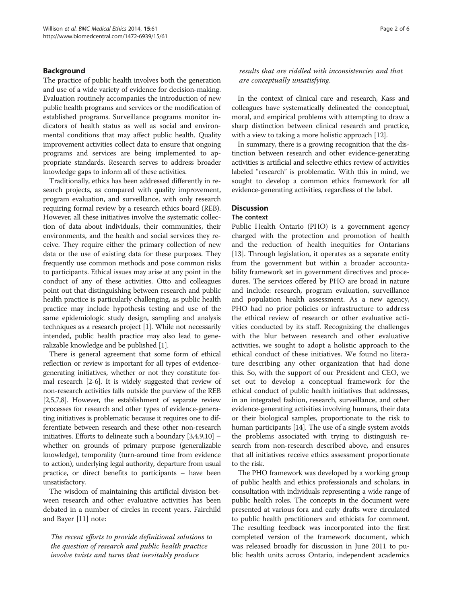# Background

The practice of public health involves both the generation and use of a wide variety of evidence for decision-making. Evaluation routinely accompanies the introduction of new public health programs and services or the modification of established programs. Surveillance programs monitor indicators of health status as well as social and environmental conditions that may affect public health. Quality improvement activities collect data to ensure that ongoing programs and services are being implemented to appropriate standards. Research serves to address broader knowledge gaps to inform all of these activities.

Traditionally, ethics has been addressed differently in research projects, as compared with quality improvement, program evaluation, and surveillance, with only research requiring formal review by a research ethics board (REB). However, all these initiatives involve the systematic collection of data about individuals, their communities, their environments, and the health and social services they receive. They require either the primary collection of new data or the use of existing data for these purposes. They frequently use common methods and pose common risks to participants. Ethical issues may arise at any point in the conduct of any of these activities. Otto and colleagues point out that distinguishing between research and public health practice is particularly challenging, as public health practice may include hypothesis testing and use of the same epidemiologic study design, sampling and analysis techniques as a research project [\[1](#page-5-0)]. While not necessarily intended, public health practice may also lead to generalizable knowledge and be published [[1\]](#page-5-0).

There is general agreement that some form of ethical reflection or review is important for all types of evidencegenerating initiatives, whether or not they constitute formal research [\[2](#page-5-0)-[6](#page-5-0)]. It is widely suggested that review of non-research activities falls outside the purview of the REB [[2,5,7,8\]](#page-5-0). However, the establishment of separate review processes for research and other types of evidence-generating initiatives is problematic because it requires one to differentiate between research and these other non-research initiatives. Efforts to delineate such a boundary [\[3,4,9,10\]](#page-5-0) – whether on grounds of primary purpose (generalizable knowledge), temporality (turn-around time from evidence to action), underlying legal authority, departure from usual practice, or direct benefits to participants – have been unsatisfactory.

The wisdom of maintaining this artificial division between research and other evaluative activities has been debated in a number of circles in recent years. Fairchild and Bayer [[11](#page-5-0)] note:

The recent efforts to provide definitional solutions to the question of research and public health practice involve twists and turns that inevitably produce

# results that are riddled with inconsistencies and that are conceptually unsatisfying.

In the context of clinical care and research, Kass and colleagues have systematically delineated the conceptual, moral, and empirical problems with attempting to draw a sharp distinction between clinical research and practice, with a view to taking a more holistic approach [\[12\]](#page-5-0).

In summary, there is a growing recognition that the distinction between research and other evidence-generating activities is artificial and selective ethics review of activities labeled "research" is problematic. With this in mind, we sought to develop a common ethics framework for all evidence-generating activities, regardless of the label.

# Discussion

# The context

Public Health Ontario (PHO) is a government agency charged with the protection and promotion of health and the reduction of health inequities for Ontarians [[13\]](#page-5-0). Through legislation, it operates as a separate entity from the government but within a broader accountability framework set in government directives and procedures. The services offered by PHO are broad in nature and include: research, program evaluation, surveillance and population health assessment. As a new agency, PHO had no prior policies or infrastructure to address the ethical review of research or other evaluative activities conducted by its staff. Recognizing the challenges with the blur between research and other evaluative activities, we sought to adopt a holistic approach to the ethical conduct of these initiatives. We found no literature describing any other organization that had done this. So, with the support of our President and CEO, we set out to develop a conceptual framework for the ethical conduct of public health initiatives that addresses, in an integrated fashion, research, surveillance, and other evidence-generating activities involving humans, their data or their biological samples, proportionate to the risk to human participants [\[14](#page-5-0)]. The use of a single system avoids the problems associated with trying to distinguish research from non-research described above, and ensures that all initiatives receive ethics assessment proportionate to the risk.

The PHO framework was developed by a working group of public health and ethics professionals and scholars, in consultation with individuals representing a wide range of public health roles. The concepts in the document were presented at various fora and early drafts were circulated to public health practitioners and ethicists for comment. The resulting feedback was incorporated into the first completed version of the framework document, which was released broadly for discussion in June 2011 to public health units across Ontario, independent academics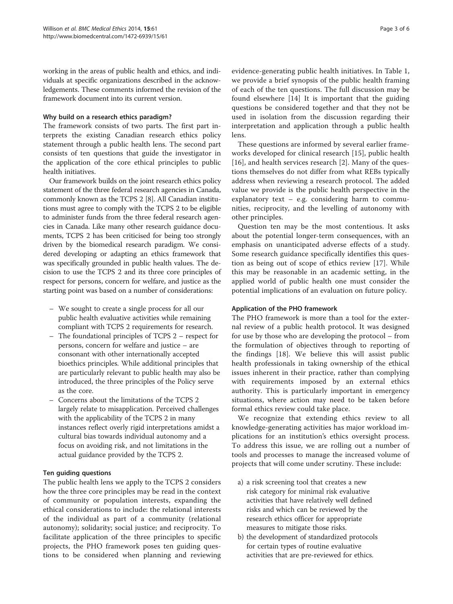working in the areas of public health and ethics, and individuals at specific organizations described in the acknowledgements. These comments informed the revision of the framework document into its current version.

# Why build on a research ethics paradigm?

The framework consists of two parts. The first part interprets the existing Canadian research ethics policy statement through a public health lens. The second part consists of ten questions that guide the investigator in the application of the core ethical principles to public health initiatives.

Our framework builds on the joint research ethics policy statement of the three federal research agencies in Canada, commonly known as the TCPS 2 [\[8](#page-5-0)]. All Canadian institutions must agree to comply with the TCPS 2 to be eligible to administer funds from the three federal research agencies in Canada. Like many other research guidance documents, TCPS 2 has been criticised for being too strongly driven by the biomedical research paradigm. We considered developing or adapting an ethics framework that was specifically grounded in public health values. The decision to use the TCPS 2 and its three core principles of respect for persons, concern for welfare, and justice as the starting point was based on a number of considerations:

- We sought to create a single process for all our public health evaluative activities while remaining compliant with TCPS 2 requirements for research.
- The foundational principles of TCPS 2 respect for persons, concern for welfare and justice – are consonant with other internationally accepted bioethics principles. While additional principles that are particularly relevant to public health may also be introduced, the three principles of the Policy serve as the core.
- Concerns about the limitations of the TCPS 2 largely relate to misapplication. Perceived challenges with the applicability of the TCPS 2 in many instances reflect overly rigid interpretations amidst a cultural bias towards individual autonomy and a focus on avoiding risk, and not limitations in the actual guidance provided by the TCPS 2.

# Ten guiding questions

The public health lens we apply to the TCPS 2 considers how the three core principles may be read in the context of community or population interests, expanding the ethical considerations to include: the relational interests of the individual as part of a community (relational autonomy); solidarity; social justice; and reciprocity. To facilitate application of the three principles to specific projects, the PHO framework poses ten guiding questions to be considered when planning and reviewing

evidence-generating public health initiatives. In Table [1](#page-3-0), we provide a brief synopsis of the public health framing of each of the ten questions. The full discussion may be found elsewhere [\[14](#page-5-0)] It is important that the guiding questions be considered together and that they not be used in isolation from the discussion regarding their interpretation and application through a public health lens.

These questions are informed by several earlier frameworks developed for clinical research [[15\]](#page-5-0), public health [[16\]](#page-5-0), and health services research [\[2](#page-5-0)]. Many of the questions themselves do not differ from what REBs typically address when reviewing a research protocol. The added value we provide is the public health perspective in the explanatory text – e.g. considering harm to communities, reciprocity, and the levelling of autonomy with other principles.

Question ten may be the most contentious. It asks about the potential longer-term consequences, with an emphasis on unanticipated adverse effects of a study. Some research guidance specifically identifies this question as being out of scope of ethics review [\[17](#page-5-0)]. While this may be reasonable in an academic setting, in the applied world of public health one must consider the potential implications of an evaluation on future policy.

# Application of the PHO framework

The PHO framework is more than a tool for the external review of a public health protocol. It was designed for use by those who are developing the protocol – from the formulation of objectives through to reporting of the findings [\[18](#page-5-0)]. We believe this will assist public health professionals in taking ownership of the ethical issues inherent in their practice, rather than complying with requirements imposed by an external ethics authority. This is particularly important in emergency situations, where action may need to be taken before formal ethics review could take place.

We recognize that extending ethics review to all knowledge-generating activities has major workload implications for an institution's ethics oversight process. To address this issue, we are rolling out a number of tools and processes to manage the increased volume of projects that will come under scrutiny. These include:

- a) a risk screening tool that creates a new risk category for minimal risk evaluative activities that have relatively well defined risks and which can be reviewed by the research ethics officer for appropriate measures to mitigate those risks.
- b) the development of standardized protocols for certain types of routine evaluative activities that are pre-reviewed for ethics.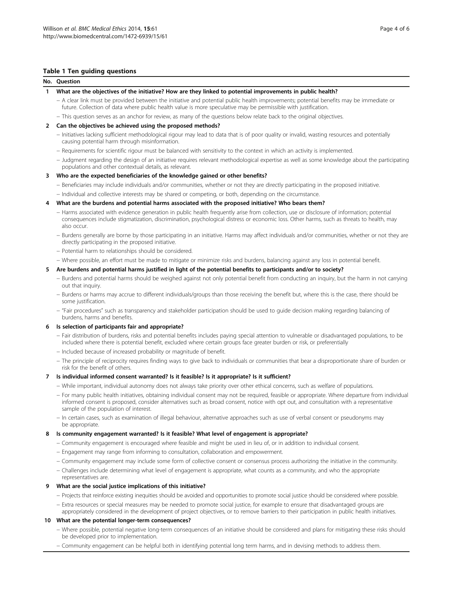# <span id="page-3-0"></span>Table 1 Ten guiding questions

#### No. Question

- 1 What are the objectives of the initiative? How are they linked to potential improvements in public health?
	- − A clear link must be provided between the initiative and potential public health improvements; potential benefits may be immediate or future. Collection of data where public health value is more speculative may be permissible with justification.
	- − This question serves as an anchor for review, as many of the questions below relate back to the original objectives.

#### 2 Can the objectives be achieved using the proposed methods?

- − Initiatives lacking sufficient methodological rigour may lead to data that is of poor quality or invalid, wasting resources and potentially causing potential harm through misinformation.
- − Requirements for scientific rigour must be balanced with sensitivity to the context in which an activity is implemented.
- − Judgment regarding the design of an initiative requires relevant methodological expertise as well as some knowledge about the participating populations and other contextual details, as relevant.

### 3 Who are the expected beneficiaries of the knowledge gained or other benefits?

- − Beneficiaries may include individuals and/or communities, whether or not they are directly participating in the proposed initiative.
- − Individual and collective interests may be shared or competing, or both, depending on the circumstance.
- 4 What are the burdens and potential harms associated with the proposed initiative? Who bears them?
	- − Harms associated with evidence generation in public health frequently arise from collection, use or disclosure of information; potential consequences include stigmatization, discrimination, psychological distress or economic loss. Other harms, such as threats to health, may also occur.
	- − Burdens generally are borne by those participating in an initiative. Harms may affect individuals and/or communities, whether or not they are directly participating in the proposed initiative.
	- − Potential harm to relationships should be considered.
	- − Where possible, an effort must be made to mitigate or minimize risks and burdens, balancing against any loss in potential benefit.

#### 5 Are burdens and potential harms justified in light of the potential benefits to participants and/or to society?

- − Burdens and potential harms should be weighed against not only potential benefit from conducting an inquiry, but the harm in not carrying out that inquiry.
- − Burdens or harms may accrue to different individuals/groups than those receiving the benefit but, where this is the case, there should be some justification.
- − "Fair procedures" such as transparency and stakeholder participation should be used to guide decision making regarding balancing of burdens, harms and benefits.

### 6 Is selection of participants fair and appropriate?

- − Fair distribution of burdens, risks and potential benefits includes paying special attention to vulnerable or disadvantaged populations, to be included where there is potential benefit, excluded where certain groups face greater burden or risk, or preferentially
- − Included because of increased probability or magnitude of benefit.
- − The principle of reciprocity requires finding ways to give back to individuals or communities that bear a disproportionate share of burden or risk for the benefit of others.

#### 7 Is individual informed consent warranted? Is it feasible? Is it appropriate? Is it sufficient?

- − While important, individual autonomy does not always take priority over other ethical concerns, such as welfare of populations.
- − For many public health initiatives, obtaining individual consent may not be required, feasible or appropriate. Where departure from individual informed consent is proposed, consider alternatives such as broad consent, notice with opt out, and consultation with a representative sample of the population of interest.
- − In certain cases, such as examination of illegal behaviour, alternative approaches such as use of verbal consent or pseudonyms may be appropriate.

#### 8 Is community engagement warranted? Is it feasible? What level of engagement is appropriate?

- − Community engagement is encouraged where feasible and might be used in lieu of, or in addition to individual consent.
- − Engagement may range from informing to consultation, collaboration and empowerment.
- − Community engagement may include some form of collective consent or consensus process authorizing the initiative in the community.
- − Challenges include determining what level of engagement is appropriate, what counts as a community, and who the appropriate representatives are.

#### 9 What are the social justice implications of this initiative?

- − Projects that reinforce existing inequities should be avoided and opportunities to promote social justice should be considered where possible.
- − Extra resources or special measures may be needed to promote social justice, for example to ensure that disadvantaged groups are appropriately considered in the development of project objectives, or to remove barriers to their participation in public health initiatives.

#### 10 What are the potential longer-term consequences?

- − Where possible, potential negative long-term consequences of an initiative should be considered and plans for mitigating these risks should be developed prior to implementation.
- − Community engagement can be helpful both in identifying potential long term harms, and in devising methods to address them.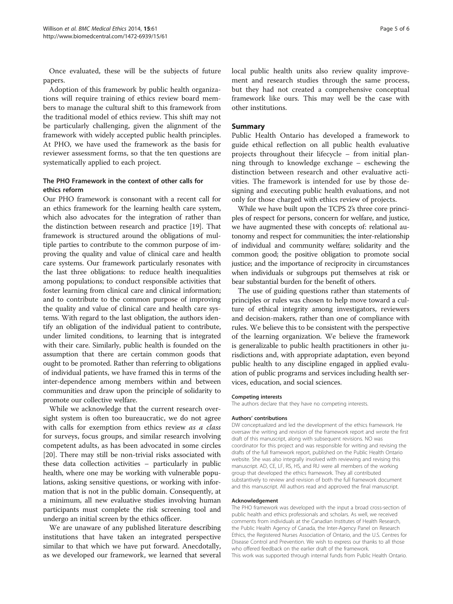Once evaluated, these will be the subjects of future papers.

Adoption of this framework by public health organizations will require training of ethics review board members to manage the cultural shift to this framework from the traditional model of ethics review. This shift may not be particularly challenging, given the alignment of the framework with widely accepted public health principles. At PHO, we have used the framework as the basis for reviewer assessment forms, so that the ten questions are systematically applied to each project.

# The PHO Framework in the context of other calls for ethics reform

Our PHO framework is consonant with a recent call for an ethics framework for the learning health care system, which also advocates for the integration of rather than the distinction between research and practice [[19](#page-5-0)]. That framework is structured around the obligations of multiple parties to contribute to the common purpose of improving the quality and value of clinical care and health care systems. Our framework particularly resonates with the last three obligations: to reduce health inequalities among populations; to conduct responsible activities that foster learning from clinical care and clinical information; and to contribute to the common purpose of improving the quality and value of clinical care and health care systems. With regard to the last obligation, the authors identify an obligation of the individual patient to contribute, under limited conditions, to learning that is integrated with their care. Similarly, public health is founded on the assumption that there are certain common goods that ought to be promoted. Rather than referring to obligations of individual patients, we have framed this in terms of the inter-dependence among members within and between communities and draw upon the principle of solidarity to promote our collective welfare.

While we acknowledge that the current research oversight system is often too bureaucratic, we do not agree with calls for exemption from ethics review as a class for surveys, focus groups, and similar research involving competent adults, as has been advocated in some circles [[20\]](#page-5-0). There may still be non-trivial risks associated with these data collection activities – particularly in public health, where one may be working with vulnerable populations, asking sensitive questions, or working with information that is not in the public domain. Consequently, at a minimum, all new evaluative studies involving human participants must complete the risk screening tool and undergo an initial screen by the ethics officer.

We are unaware of any published literature describing institutions that have taken an integrated perspective similar to that which we have put forward. Anecdotally, as we developed our framework, we learned that several local public health units also review quality improvement and research studies through the same process, but they had not created a comprehensive conceptual framework like ours. This may well be the case with other institutions.

# Summary

Public Health Ontario has developed a framework to guide ethical reflection on all public health evaluative projects throughout their lifecycle – from initial planning through to knowledge exchange – eschewing the distinction between research and other evaluative activities. The framework is intended for use by those designing and executing public health evaluations, and not only for those charged with ethics review of projects.

While we have built upon the TCPS 2's three core principles of respect for persons, concern for welfare, and justice, we have augmented these with concepts of: relational autonomy and respect for communities; the inter-relationship of individual and community welfare; solidarity and the common good; the positive obligation to promote social justice; and the importance of reciprocity in circumstances when individuals or subgroups put themselves at risk or bear substantial burden for the benefit of others.

The use of guiding questions rather than statements of principles or rules was chosen to help move toward a culture of ethical integrity among investigators, reviewers and decision-makers, rather than one of compliance with rules. We believe this to be consistent with the perspective of the learning organization. We believe the framework is generalizable to public health practitioners in other jurisdictions and, with appropriate adaptation, even beyond public health to any discipline engaged in applied evaluation of public programs and services including health services, education, and social sciences.

### Competing interests

The authors declare that they have no competing interests.

#### Authors' contributions

DW conceptualized and led the development of the ethics framework. He oversaw the writing and revision of the framework report and wrote the first draft of this manuscript, along with subsequent revisions. NO was coordinator for this project and was responsible for writing and revising the drafts of the full framework report, published on the Public Health Ontario website. She was also integrally involved with reviewing and revising this manuscript. AD, CE, LF, RS, HS, and RU were all members of the working group that developed the ethics framework. They all contributed substantively to review and revision of both the full framework document and this manuscript. All authors read and approved the final manuscript.

#### Acknowledgement

The PHO framework was developed with the input a broad cross-section of public health and ethics professionals and scholars. As well, we received comments from individuals at the Canadian Institutes of Health Research, the Public Health Agency of Canada, the Inter-Agency Panel on Research Ethics, the Registered Nurses Association of Ontario, and the U.S. Centres for Disease Control and Prevention. We wish to express our thanks to all those who offered feedback on the earlier draft of the framework. This work was supported through internal funds from Public Health Ontario.